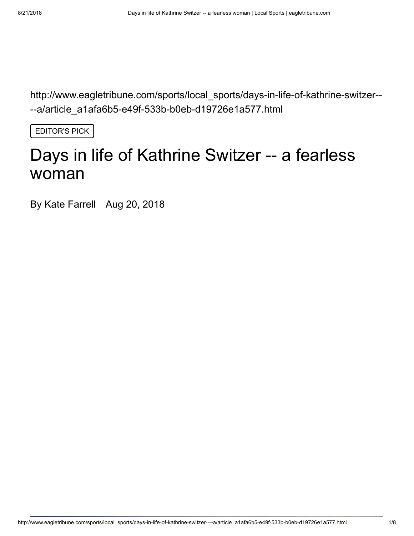http://www.eagletribune.com/sports/local\_sports/days-in-life-of-kathrine-switzer-- --a/article\_a1afa6b5-e49f-533b-b0eb-d19726e1a577.html

EDITOR'S PICK

# Days in life of Kathrine Switzer -- a fearless woman

By Kate Farrell Aug 20, 2018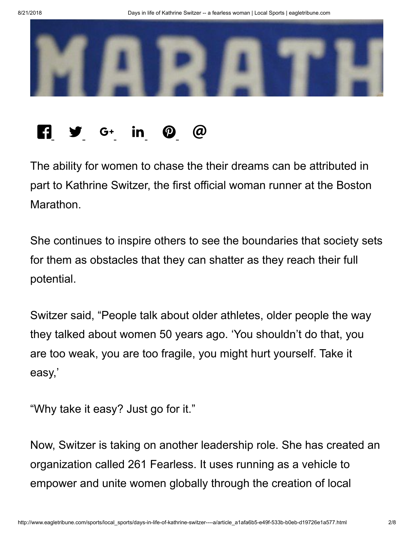

## $\begin{bmatrix} 1 & y & G^+ & in & \mathbb{Q} & \mathbb{Q} \end{bmatrix}$

The ability for women to chase the their dreams can be attributed in part to Kathrine Switzer, the first official woman runner at the Boston **Marathon** 

She continues to inspire others to see the boundaries that society sets for them as obstacles that they can shatter as they reach their full potential.

Switzer said, "People talk about older athletes, older people the way they talked about women 50 years ago. 'You shouldn't do that, you are too weak, you are too fragile, you might hurt yourself. Take it easy,'

"Why take it easy? Just go for it."

Now, Switzer is taking on another leadership role. She has created an organization called 261 Fearless. It uses running as a vehicle to empower and unite women globally through the creation of local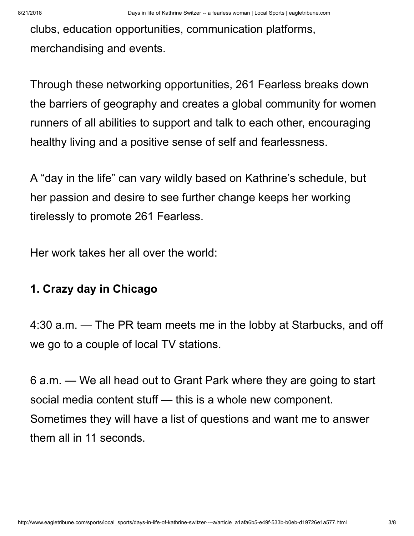clubs, education opportunities, communication platforms, merchandising and events.

Through these networking opportunities, 261 Fearless breaks down the barriers of geography and creates a global community for women runners of all abilities to support and talk to each other, encouraging healthy living and a positive sense of self and fearlessness.

A "day in the life" can vary wildly based on Kathrine's schedule, but her passion and desire to see further change keeps her working tirelessly to promote 261 Fearless.

Her work takes her all over the world:

### **1. Crazy day in Chicago**

4:30 a.m. — The PR team meets me in the lobby at Starbucks, and off we go to a couple of local TV stations.

6 a.m. — We all head out to Grant Park where they are going to start social media content stuff — this is a whole new component. Sometimes they will have a list of questions and want me to answer them all in 11 seconds.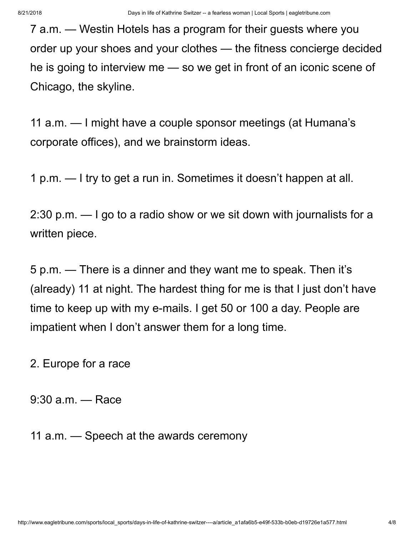7 a.m. — Westin Hotels has a program for their guests where you order up your shoes and your clothes — the fitness concierge decided he is going to interview me — so we get in front of an iconic scene of Chicago, the skyline.

11 a.m. — I might have a couple sponsor meetings (at Humana's corporate offices), and we brainstorm ideas.

1 p.m. — I try to get a run in. Sometimes it doesn't happen at all.

2:30 p.m. — I go to a radio show or we sit down with journalists for a written piece.

5 p.m. — There is a dinner and they want me to speak. Then it's (already) 11 at night. The hardest thing for me is that I just don't have time to keep up with my e-mails. I get 50 or 100 a day. People are impatient when I don't answer them for a long time.

2. Europe for a race

9:30 a.m. — Race

11 a.m. — Speech at the awards ceremony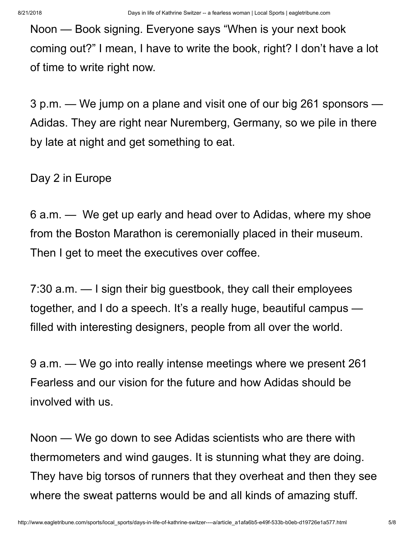Noon — Book signing. Everyone says "When is your next book coming out?" I mean, I have to write the book, right? I don't have a lot of time to write right now.

3 p.m. — We jump on a plane and visit one of our big 261 sponsors — Adidas. They are right near Nuremberg, Germany, so we pile in there by late at night and get something to eat.

Day 2 in Europe

6 a.m. — We get up early and head over to Adidas, where my shoe from the Boston Marathon is ceremonially placed in their museum. Then I get to meet the executives over coffee.

7:30 a.m. — I sign their big guestbook, they call their employees together, and I do a speech. It's a really huge, beautiful campus filled with interesting designers, people from all over the world.

9 a.m. — We go into really intense meetings where we present 261 Fearless and our vision for the future and how Adidas should be involved with us.

Noon — We go down to see Adidas scientists who are there with thermometers and wind gauges. It is stunning what they are doing. They have big torsos of runners that they overheat and then they see where the sweat patterns would be and all kinds of amazing stuff.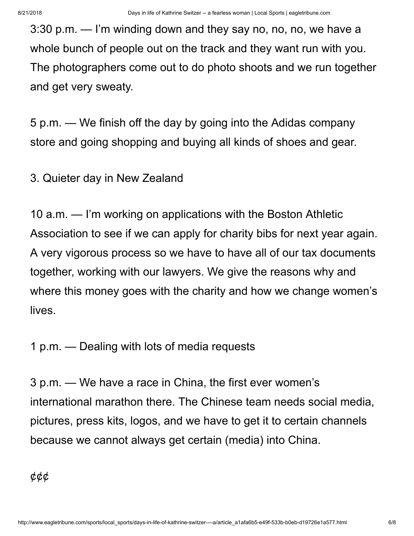3:30 p.m. — I'm winding down and they say no, no, no, we have a whole bunch of people out on the track and they want run with you. The photographers come out to do photo shoots and we run together and get very sweaty.

5 p.m. — We finish off the day by going into the Adidas company store and going shopping and buying all kinds of shoes and gear.

3. Quieter day in New Zealand

10 a.m. — I'm working on applications with the Boston Athletic Association to see if we can apply for charity bibs for next year again. A very vigorous process so we have to have all of our tax documents together, working with our lawyers. We give the reasons why and where this money goes with the charity and how we change women's lives.

1 p.m. — Dealing with lots of media requests

3 p.m. — We have a race in China, the first ever women's international marathon there. The Chinese team needs social media, pictures, press kits, logos, and we have to get it to certain channels because we cannot always get certain (media) into China.